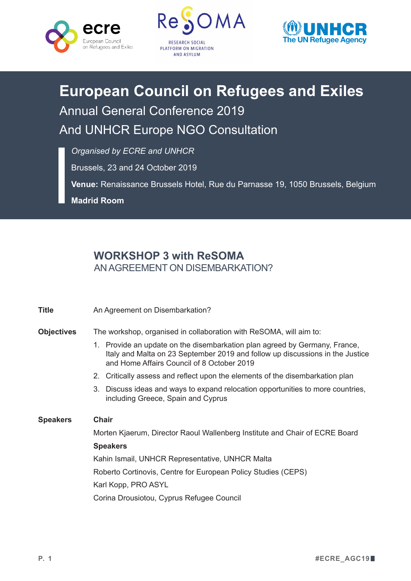





## **European Council on Refugees and Exiles** Annual General Conference 2019 And UNHCR Europe NGO Consultation

*Organised by ECRE and UNHCR*

Brussels, 23 and 24 October 2019

**Venue:** Renaissance Brussels Hotel, Rue du Parnasse 19, 1050 Brussels, Belgium

**Madrid Room**

## **WORKSHOP 3 with ReSOMA** ANAGREEMENT ON DISEMBARKATION?

| <b>Title</b>      | An Agreement on Disembarkation?                                                                                                                                                                           |
|-------------------|-----------------------------------------------------------------------------------------------------------------------------------------------------------------------------------------------------------|
| <b>Objectives</b> | The workshop, organised in collaboration with ReSOMA, will aim to:                                                                                                                                        |
|                   | 1. Provide an update on the disembarkation plan agreed by Germany, France,<br>Italy and Malta on 23 September 2019 and follow up discussions in the Justice<br>and Home Affairs Council of 8 October 2019 |
|                   | 2. Critically assess and reflect upon the elements of the disembarkation plan                                                                                                                             |
|                   | 3. Discuss ideas and ways to expand relocation opportunities to more countries,<br>including Greece, Spain and Cyprus                                                                                     |
| <b>Speakers</b>   | Chair                                                                                                                                                                                                     |
|                   | Morten Kjaerum, Director Raoul Wallenberg Institute and Chair of ECRE Board                                                                                                                               |
|                   | <b>Speakers</b>                                                                                                                                                                                           |
|                   | Kahin Ismail, UNHCR Representative, UNHCR Malta                                                                                                                                                           |
|                   | Roberto Cortinovis, Centre for European Policy Studies (CEPS)                                                                                                                                             |
|                   | Karl Kopp, PRO ASYL                                                                                                                                                                                       |
|                   | Corina Drousiotou, Cyprus Refugee Council                                                                                                                                                                 |